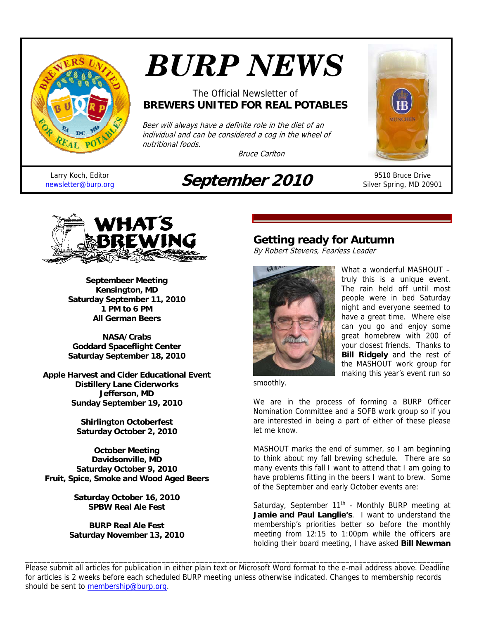

# *BURP NEWS*

## The Official Newsletter of **BREWERS UNITED FOR REAL POTABLES**

Beer will always have a definite role in the diet of an individual and can be considered a cog in the wheel of nutritional foods.

Bruce Carlton



Silver Spring, MD 20901

Larry Koch, Editor<br>newsletter@burp.org

# **September 2010** 9510 Bruce Drive



**Septembeer Meeting Kensington, MD Saturday September 11, 2010 1 PM to 6 PM All German Beers** 

**NASA/Crabs Goddard Spaceflight Center Saturday September 18, 2010** 

**Apple Harvest and Cider Educational Event Distillery Lane Ciderworks Jefferson, MD Sunday September 19, 2010** 

> **Shirlington Octoberfest Saturday October 2, 2010**

**October Meeting Davidsonville, MD Saturday October 9, 2010 Fruit, Spice, Smoke and Wood Aged Beers** 

> **Saturday October 16, 2010 SPBW Real Ale Fest**

**BURP Real Ale Fest Saturday November 13, 2010** 

# **Getting ready for Autumn**

By Robert Stevens, Fearless Leader



What a wonderful MASHOUT truly this is a unique event. The rain held off until most people were in bed Saturday night and everyone seemed to have a great time. Where else can you go and enjoy some great homebrew with 200 of your closest friends. Thanks to **Bill Ridgely** and the rest of the MASHOUT work group for making this year's event run so

smoothly.

We are in the process of forming a BURP Officer Nomination Committee and a SOFB work group so if you are interested in being a part of either of these please let me know.

MASHOUT marks the end of summer, so I am beginning to think about my fall brewing schedule. There are so many events this fall I want to attend that I am going to have problems fitting in the beers I want to brew. Some of the September and early October events are:

Saturday, September  $11<sup>th</sup>$  - Monthly BURP meeting at **Jamie and Paul Langlie's**. I want to understand the membership's priorities better so before the monthly meeting from 12:15 to 1:00pm while the officers are holding their board meeting, I have asked **Bill Newman**

Please submit all articles for publication in either plain text or Microsoft Word format to the e-mail address above. Deadline for articles is 2 weeks before each scheduled BURP meeting unless otherwise indicated. Changes to membership records should be sent to membership@burp.org.

\_\_\_\_\_\_\_\_\_\_\_\_\_\_\_\_\_\_\_\_\_\_\_\_\_\_\_\_\_\_\_\_\_\_\_\_\_\_\_\_\_\_\_\_\_\_\_\_\_\_\_\_\_\_\_\_\_\_\_\_\_\_\_\_\_\_\_\_\_\_\_\_\_\_\_\_\_\_\_\_\_\_\_\_\_\_\_\_\_\_\_\_\_\_\_\_\_\_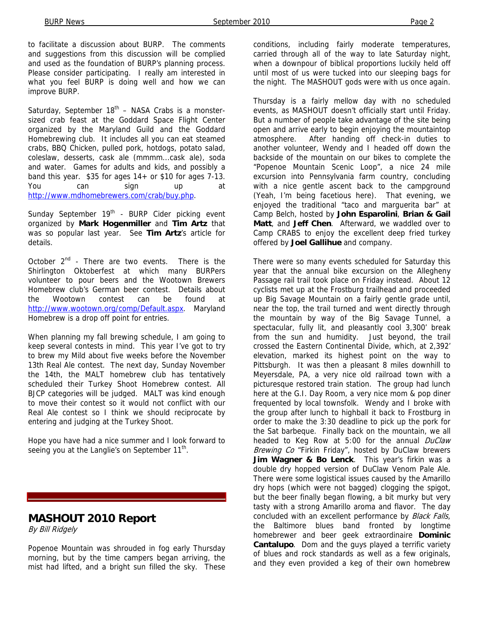to facilitate a discussion about BURP. The comments and suggestions from this discussion will be complied and used as the foundation of BURP's planning process. Please consider participating. I really am interested in what you feel BURP is doing well and how we can improve BURP.

Saturday, September  $18<sup>th</sup>$  – NASA Crabs is a monstersized crab feast at the Goddard Space Flight Center organized by the Maryland Guild and the Goddard Homebrewing club. It includes all you can eat steamed crabs, BBQ Chicken, pulled pork, hotdogs, potato salad, coleslaw, desserts, cask ale (mmmm...cask ale), soda and water. Games for adults and kids, and possibly a band this year. \$35 for ages 14+ or \$10 for ages 7-13. You can sign up at http://www.mdhomebrewers.com/crab/buy.php.

Sunday September 19<sup>th</sup> - BURP Cider picking event organized by **Mark Hogenmiller** and **Tim Artz** that was so popular last year. See **Tim Artz**'s article for details.

October  $2^{nd}$  - There are two events. There is the Shirlington Oktoberfest at which many BURPers volunteer to pour beers and the Wootown Brewers Homebrew club's German beer contest. Details about the Wootown contest can be found at http://www.wootown.org/comp/Default.aspx. Maryland Homebrew is a drop off point for entries.

When planning my fall brewing schedule, I am going to keep several contests in mind. This year I've got to try to brew my Mild about five weeks before the November 13th Real Ale contest. The next day, Sunday November the 14th, the MALT homebrew club has tentatively scheduled their Turkey Shoot Homebrew contest. All BJCP categories will be judged. MALT was kind enough to move their contest so it would not conflict with our Real Ale contest so I think we should reciprocate by entering and judging at the Turkey Shoot.

Hope you have had a nice summer and I look forward to seeing you at the Langlie's on September  $11<sup>th</sup>$ .

# **MASHOUT 2010 Report**

By Bill Ridgely

Popenoe Mountain was shrouded in fog early Thursday morning, but by the time campers began arriving, the mist had lifted, and a bright sun filled the sky. These

conditions, including fairly moderate temperatures, carried through all of the way to late Saturday night, when a downpour of biblical proportions luckily held off until most of us were tucked into our sleeping bags for the night. The MASHOUT gods were with us once again.

Thursday is a fairly mellow day with no scheduled events, as MASHOUT doesn't officially start until Friday. But a number of people take advantage of the site being open and arrive early to begin enjoying the mountaintop atmosphere. After handing off check-in duties to another volunteer, Wendy and I headed off down the backside of the mountain on our bikes to complete the "Popenoe Mountain Scenic Loop", a nice 24 mile excursion into Pennsylvania farm country, concluding with a nice gentle ascent back to the campground (Yeah, I'm being facetious here). That evening, we enjoyed the traditional "taco and marguerita bar" at Camp Belch, hosted by **John Esparolini**, **Brian & Gail Matt**, and **Jeff Chen**. Afterward, we waddled over to Camp CRABS to enjoy the excellent deep fried turkey offered by **Joel Gallihue** and company.

There were so many events scheduled for Saturday this year that the annual bike excursion on the Allegheny Passage rail trail took place on Friday instead. About 12 cyclists met up at the Frostburg trailhead and proceeded up Big Savage Mountain on a fairly gentle grade until, near the top, the trail turned and went directly through the mountain by way of the Big Savage Tunnel, a spectacular, fully lit, and pleasantly cool 3,300' break from the sun and humidity. Just beyond, the trail crossed the Eastern Continental Divide, which, at 2,392' elevation, marked its highest point on the way to Pittsburgh. It was then a pleasant 8 miles downhill to Meyersdale, PA, a very nice old railroad town with a picturesque restored train station. The group had lunch here at the G.I. Day Room, a very nice mom & pop diner frequented by local townsfolk. Wendy and I broke with the group after lunch to highball it back to Frostburg in order to make the 3:30 deadline to pick up the pork for the Sat barbeque. Finally back on the mountain, we all headed to Keg Row at 5:00 for the annual DuClaw Brewing Co "Firkin Friday", hosted by DuClaw brewers **Jim Wagner & Bo Lenck**. This year's firkin was a double dry hopped version of DuClaw Venom Pale Ale. There were some logistical issues caused by the Amarillo dry hops (which were not bagged) clogging the spigot, but the beer finally began flowing, a bit murky but very tasty with a strong Amarillo aroma and flavor. The day concluded with an excellent performance by Black Falls, the Baltimore blues band fronted by longtime homebrewer and beer geek extraordinaire **Dominic Cantalupo**. Dom and the guys played a terrific variety of blues and rock standards as well as a few originals, and they even provided a keg of their own homebrew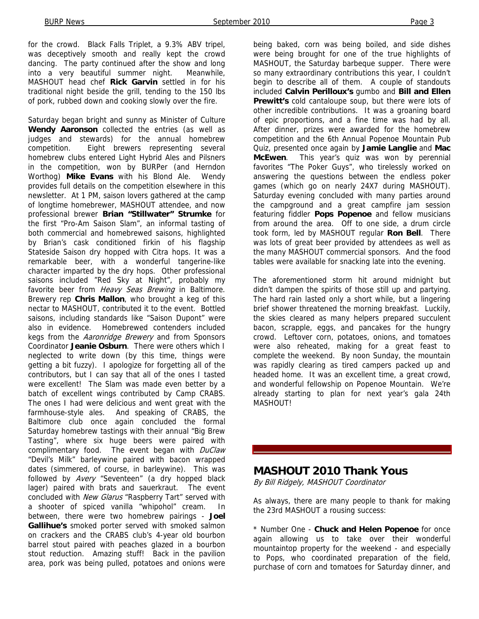for the crowd. Black Falls Triplet, a 9.3% ABV tripel, was deceptively smooth and really kept the crowd dancing. The party continued after the show and long into a very beautiful summer night. Meanwhile, MASHOUT head chef **Rick Garvin** settled in for his traditional night beside the grill, tending to the 150 lbs of pork, rubbed down and cooking slowly over the fire.

Saturday began bright and sunny as Minister of Culture **Wendy Aaronson** collected the entries (as well as judges and stewards) for the annual homebrew competition. Eight brewers representing several homebrew clubs entered Light Hybrid Ales and Pilsners in the competition, won by BURPer (and Herndon Worthog) **Mike Evans** with his Blond Ale. Wendy provides full details on the competition elsewhere in this newsletter. At 1 PM, saison lovers gathered at the camp of longtime homebrewer, MASHOUT attendee, and now professional brewer **Brian "Stillwater" Strumke** for the first "Pro-Am Saison Slam", an informal tasting of both commercial and homebrewed saisons, highlighted by Brian's cask conditioned firkin of his flagship Stateside Saison dry hopped with Citra hops. It was a remarkable beer, with a wonderful tangerine-like character imparted by the dry hops. Other professional saisons included "Red Sky at Night", probably my favorite beer from Heavy Seas Brewing in Baltimore. Brewery rep **Chris Mallon**, who brought a keg of this nectar to MASHOUT, contributed it to the event. Bottled saisons, including standards like "Saison Dupont" were also in evidence. Homebrewed contenders included kegs from the Aaronridge Brewery and from Sponsors Coordinator **Jeanie Osburn**. There were others which I neglected to write down (by this time, things were getting a bit fuzzy). I apologize for forgetting all of the contributors, but I can say that all of the ones I tasted were excellent! The Slam was made even better by a batch of excellent wings contributed by Camp CRABS. The ones I had were delicious and went great with the farmhouse-style ales. And speaking of CRABS, the Baltimore club once again concluded the formal Saturday homebrew tastings with their annual "Big Brew Tasting", where six huge beers were paired with complimentary food. The event began with DuClaw "Devil's Milk" barleywine paired with bacon wrapped dates (simmered, of course, in barleywine). This was followed by Avery "Seventeen" (a dry hopped black lager) paired with brats and sauerkraut. The event concluded with New Glarus "Raspberry Tart" served with a shooter of spiced vanilla "whipohol" cream. In between, there were two homebrew pairings - **Joel Gallihue's** smoked porter served with smoked salmon on crackers and the CRABS club's 4-year old bourbon barrel stout paired with peaches glazed in a bourbon stout reduction. Amazing stuff! Back in the pavilion area, pork was being pulled, potatoes and onions were

being baked, corn was being boiled, and side dishes were being brought for one of the true highlights of MASHOUT, the Saturday barbeque supper. There were so many extraordinary contributions this year, I couldn't begin to describe all of them. A couple of standouts included **Calvin Perilloux's** gumbo and **Bill and Ellen Prewitt's** cold cantaloupe soup, but there were lots of other incredible contributions. It was a groaning board of epic proportions, and a fine time was had by all. After dinner, prizes were awarded for the homebrew competition and the 6th Annual Popenoe Mountain Pub Quiz, presented once again by **Jamie Langlie** and **Mac McEwen**. This year's quiz was won by perennial favorites "The Poker Guys", who tirelessly worked on answering the questions between the endless poker games (which go on nearly 24X7 during MASHOUT). Saturday evening concluded with many parties around the campground and a great campfire jam session featuring fiddler **Pops Popenoe** and fellow musicians from around the area. Off to one side, a drum circle took form, led by MASHOUT regular **Ron Bell**. There was lots of great beer provided by attendees as well as the many MASHOUT commercial sponsors. And the food tables were available for snacking late into the evening.

The aforementioned storm hit around midnight but didn't dampen the spirits of those still up and partying. The hard rain lasted only a short while, but a lingering brief shower threatened the morning breakfast. Luckily, the skies cleared as many helpers prepared succulent bacon, scrapple, eggs, and pancakes for the hungry crowd. Leftover corn, potatoes, onions, and tomatoes were also reheated, making for a great feast to complete the weekend. By noon Sunday, the mountain was rapidly clearing as tired campers packed up and headed home. It was an excellent time, a great crowd, and wonderful fellowship on Popenoe Mountain. We're already starting to plan for next year's gala 24th **MASHOUT!** 

#### **MASHOUT 2010 Thank Yous**

By Bill Ridgely, MASHOUT Coordinator

As always, there are many people to thank for making the 23rd MASHOUT a rousing success:

\* Number One - **Chuck and Helen Popenoe** for once again allowing us to take over their wonderful mountaintop property for the weekend - and especially to Pops, who coordinated preparation of the field, purchase of corn and tomatoes for Saturday dinner, and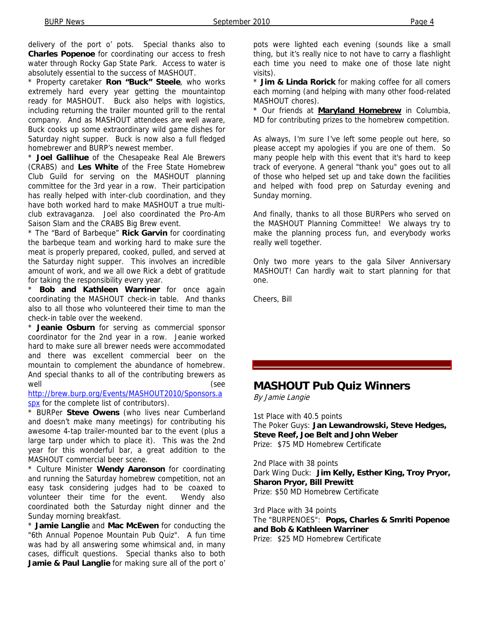delivery of the port o' pots. Special thanks also to **Charles Popenoe** for coordinating our access to fresh water through Rocky Gap State Park. Access to water is absolutely essential to the success of MASHOUT.

\* Property caretaker **Ron "Buck" Steele**, who works extremely hard every year getting the mountaintop ready for MASHOUT. Buck also helps with logistics, including returning the trailer mounted grill to the rental company. And as MASHOUT attendees are well aware, Buck cooks up some extraordinary wild game dishes for Saturday night supper. Buck is now also a full fledged homebrewer and BURP's newest member.

\* **Joel Gallihue** of the Chesapeake Real Ale Brewers (CRABS) and **Les White** of the Free State Homebrew Club Guild for serving on the MASHOUT planning committee for the 3rd year in a row. Their participation has really helped with inter-club coordination, and they have both worked hard to make MASHOUT a true multiclub extravaganza. Joel also coordinated the Pro-Am Saison Slam and the CRABS Big Brew event.

\* The "Bard of Barbeque" **Rick Garvin** for coordinating the barbeque team and working hard to make sure the meat is properly prepared, cooked, pulled, and served at the Saturday night supper. This involves an incredible amount of work, and we all owe Rick a debt of gratitude for taking the responsibility every year.

Bob and Kathleen Warriner for once again coordinating the MASHOUT check-in table. And thanks also to all those who volunteered their time to man the check-in table over the weekend.

\* **Jeanie Osburn** for serving as commercial sponsor coordinator for the 2nd year in a row. Jeanie worked hard to make sure all brewer needs were accommodated and there was excellent commercial beer on the mountain to complement the abundance of homebrew. And special thanks to all of the contributing brewers as well (see

http://brew.burp.org/Events/MASHOUT2010/Sponsors.a spx for the complete list of contributors).

\* BURPer **Steve Owens** (who lives near Cumberland and doesn't make many meetings) for contributing his awesome 4-tap trailer-mounted bar to the event (plus a large tarp under which to place it). This was the 2nd year for this wonderful bar, a great addition to the MASHOUT commercial beer scene.

\* Culture Minister **Wendy Aaronson** for coordinating and running the Saturday homebrew competition, not an easy task considering judges had to be coaxed to volunteer their time for the event. Wendy also coordinated both the Saturday night dinner and the Sunday morning breakfast.

\* **Jamie Langlie** and **Mac McEwen** for conducting the "6th Annual Popenoe Mountain Pub Quiz". A fun time was had by all answering some whimsical and, in many cases, difficult questions. Special thanks also to both **Jamie & Paul Langlie** for making sure all of the port o' pots were lighted each evening (sounds like a small thing, but it's really nice to not have to carry a flashlight each time you need to make one of those late night visits).

\* **Jim & Linda Rorick** for making coffee for all comers each morning (and helping with many other food-related MASHOUT chores).

\* Our friends at **Maryland Homebrew** in Columbia, MD for contributing prizes to the homebrew competition.

As always, I'm sure I've left some people out here, so please accept my apologies if you are one of them. So many people help with this event that it's hard to keep track of everyone. A general "thank you" goes out to all of those who helped set up and take down the facilities and helped with food prep on Saturday evening and Sunday morning.

And finally, thanks to all those BURPers who served on the MASHOUT Planning Committee! We always try to make the planning process fun, and everybody works really well together.

Only two more years to the gala Silver Anniversary MASHOUT! Can hardly wait to start planning for that one.

Cheers, Bill

#### **MASHOUT Pub Quiz Winners**

By Jamie Langie

1st Place with 40.5 points The Poker Guys: **Jan Lewandrowski, Steve Hedges, Steve Reef, Joe Belt and John Weber** Prize: \$75 MD Homebrew Certificate

2nd Place with 38 points Dark Wing Duck: **Jim Kelly, Esther King, Troy Pryor, Sharon Pryor, Bill Prewitt** Prize: \$50 MD Homebrew Certificate

3rd Place with 34 points The "BURPENOES": **Pops, Charles & Smriti Popenoe and Bob & Kathleen Warriner** Prize: \$25 MD Homebrew Certificate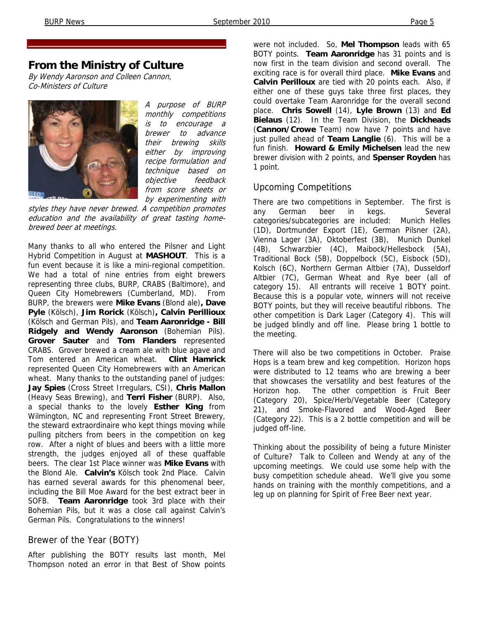# **From the Ministry of Culture**

By Wendy Aaronson and Colleen Cannon, Co-Ministers of Culture



A purpose of BURP monthly competitions is to encourage a brewer to advance their brewing skills either by improving recipe formulation and technique based on objective feedback from score sheets or by experimenting with

styles they have never brewed. A competition promotes education and the availability of great tasting homebrewed beer at meetings.

Many thanks to all who entered the Pilsner and Light Hybrid Competition in August at **MASHOUT**. This is a fun event because it is like a mini-regional competition. We had a total of nine entries from eight brewers representing three clubs, BURP, CRABS (Baltimore), and Queen City Homebrewers (Cumberland, MD). From BURP, the brewers were **Mike Evans** (Blond ale)**, Dave Pyle** (Kölsch), **Jim Rorick** (Kölsch)**, Calvin Perillioux**  (Kölsch and German Pils), and **Team Aaronridge - Bill Ridgely and Wendy Aaronson** (Bohemian Pils). **Grover Sauter** and **Tom Flanders** represented CRABS. Grover brewed a cream ale with blue agave and Tom entered an American wheat. **Clint Hamrick** represented Queen City Homebrewers with an American wheat. Many thanks to the outstanding panel of judges: **Jay Spies** (Cross Street Irregulars, CSI), **Chris Mallon**  (Heavy Seas Brewing), and **Terri Fisher** (BURP). Also, a special thanks to the lovely **Esther King** from Wilmington, NC and representing Front Street Brewery, the steward extraordinaire who kept things moving while pulling pitchers from beers in the competition on keg row. After a night of blues and beers with a little more strength, the judges enjoyed all of these quaffable beers. The clear 1st Place winner was **Mike Evans** with the Blond Ale. **Calvin's** Kölsch took 2nd Place. Calvin has earned several awards for this phenomenal beer, including the Bill Moe Award for the best extract beer in SOFB. **Team Aaronridge** took 3rd place with their Bohemian Pils, but it was a close call against Calvin's German Pils. Congratulations to the winners!

#### Brewer of the Year (BOTY)

After publishing the BOTY results last month, Mel Thompson noted an error in that Best of Show points

were not included. So, **Mel Thompson** leads with 65 BOTY points. **Team Aaronridge** has 31 points and is now first in the team division and second overall. The exciting race is for overall third place. **Mike Evans** and **Calvin Perilloux** are tied with 20 points each. Also, if either one of these guys take three first places, they could overtake Team Aaronridge for the overall second place. **Chris Sowell** (14), **Lyle Brown** (13) and **Ed Bielaus** (12). In the Team Division, the **Dickheads** (**Cannon/Crowe** Team) now have 7 points and have just pulled ahead of **Team Langlie** (6). This will be a fun finish. **Howard & Emily Michelsen** lead the new brewer division with 2 points, and **Spenser Royden** has 1 point.

#### Upcoming Competitions

There are two competitions in September. The first is any German beer in kegs. Several categories/subcategories are included: Munich Helles (1D), Dortmunder Export (1E), German Pilsner (2A), Vienna Lager (3A), Oktoberfest (3B), Munich Dunkel (4B), Schwarzbier (4C), Maibock/Hellesbock (5A), Traditional Bock (5B), Doppelbock (5C), Eisbock (5D), Kolsch (6C), Northern German Altbier (7A), Dusseldorf Altbier (7C), German Wheat and Rye beer (all of category 15). All entrants will receive 1 BOTY point. Because this is a popular vote, winners will not receive BOTY points, but they will receive beautiful ribbons. The other competition is Dark Lager (Category 4). This will be judged blindly and off line. Please bring 1 bottle to the meeting.

There will also be two competitions in October. Praise Hops is a team brew and keg competition. Horizon hops were distributed to 12 teams who are brewing a beer that showcases the versatility and best features of the Horizon hop. The other competition is Fruit Beer (Category 20), Spice/Herb/Vegetable Beer (Category 21), and Smoke-Flavored and Wood-Aged Beer (Category 22). This is a 2 bottle competition and will be judged off-line.

Thinking about the possibility of being a future Minister of Culture? Talk to Colleen and Wendy at any of the upcoming meetings. We could use some help with the busy competition schedule ahead. We'll give you some hands on training with the monthly competitions, and a leg up on planning for Spirit of Free Beer next year.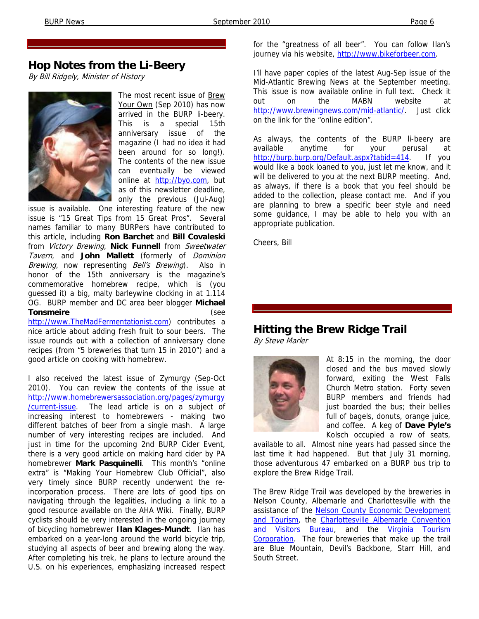# **Hop Notes from the Li-Beery**

By Bill Ridgely, Minister of History



The most recent issue of Brew Your Own (Sep 2010) has now arrived in the BURP li-beery. This is a special 15th anniversary issue of the magazine (I had no idea it had been around for so long!). The contents of the new issue can eventually be viewed online at http://byo.com, but as of this newsletter deadline, only the previous (Jul-Aug)

issue is available. One interesting feature of the new issue is "15 Great Tips from 15 Great Pros". Several names familiar to many BURPers have contributed to this article, including **Ron Barchet** and **Bill Covaleski**  from Victory Brewing, **Nick Funnell** from Sweetwater Tavern, and **John Mallett** (formerly of Dominion Brewing, now representing Bell's Brewing). Also in honor of the 15th anniversary is the magazine's commemorative homebrew recipe, which is (you guessed it) a big, malty barleywine clocking in at 1.114 OG. BURP member and DC area beer blogger **Michael Tonsmeire** (see http://www.TheMadFermentationist.com) contributes a nice article about adding fresh fruit to sour beers. The issue rounds out with a collection of anniversary clone recipes (from "5 breweries that turn 15 in 2010") and a

good article on cooking with homebrew.

I also received the latest issue of Zymurgy (Sep-Oct 2010). You can review the contents of the issue at http://www.homebrewersassociation.org/pages/zymurgy /current-issue. The lead article is on a subject of increasing interest to homebrewers - making two different batches of beer from a single mash. A large number of very interesting recipes are included. And just in time for the upcoming 2nd BURP Cider Event, there is a very good article on making hard cider by PA homebrewer **Mark Pasquinelli**. This month's "online extra" is "Making Your Homebrew Club Official", also very timely since BURP recently underwent the reincorporation process. There are lots of good tips on navigating through the legalities, including a link to a good resource available on the AHA Wiki. Finally, BURP cyclists should be very interested in the ongoing journey of bicycling homebrewer **Ilan Klages-Mundt**. Ilan has embarked on a year-long around the world bicycle trip, studying all aspects of beer and brewing along the way. After completing his trek, he plans to lecture around the U.S. on his experiences, emphasizing increased respect

for the "greatness of all beer". You can follow Ilan's journey via his website, http://www.bikeforbeer.com.

I'll have paper copies of the latest Aug-Sep issue of the Mid-Atlantic Brewing News at the September meeting. This issue is now available online in full text. Check it out on the MABN website at http://www.brewingnews.com/mid-atlantic/. Just click on the link for the "online edition".

As always, the contents of the BURP li-beery are available anytime for your perusal at http://burp.burp.org/Default.aspx?tabid=414. If you would like a book loaned to you, just let me know, and it will be delivered to you at the next BURP meeting. And, as always, if there is a book that you feel should be added to the collection, please contact me. And if you are planning to brew a specific beer style and need some guidance, I may be able to help you with an appropriate publication.

Cheers, Bill

# **Hitting the Brew Ridge Trail**

By Steve Marler



At 8:15 in the morning, the door closed and the bus moved slowly forward, exiting the West Falls Church Metro station. Forty seven BURP members and friends had just boarded the bus; their bellies full of bagels, donuts, orange juice, and coffee. A keg of **Dave Pyle's** Kolsch occupied a row of seats,

available to all. Almost nine years had passed since the last time it had happened. But that July 31 morning, those adventurous 47 embarked on a BURP bus trip to explore the Brew Ridge Trail.

The Brew Ridge Trail was developed by the breweries in Nelson County, Albemarle and Charlottesville with the assistance of the **Nelson County Economic Development** and Tourism, the Charlottesville Albemarle Convention and Visitors Bureau, and the Virginia Tourism Corporation. The four breweries that make up the trail are Blue Mountain, Devil's Backbone, Starr Hill, and South Street.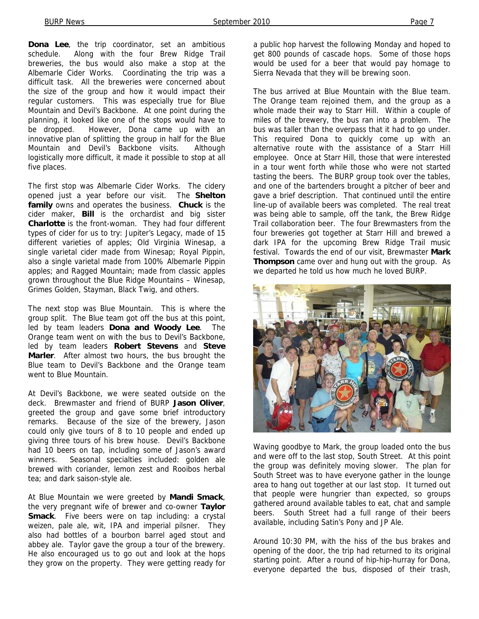**Dona Lee**, the trip coordinator, set an ambitious schedule. Along with the four Brew Ridge Trail breweries, the bus would also make a stop at the Albemarle Cider Works. Coordinating the trip was a difficult task. All the breweries were concerned about the size of the group and how it would impact their regular customers. This was especially true for Blue Mountain and Devil's Backbone. At one point during the planning, it looked like one of the stops would have to be dropped. However, Dona came up with an innovative plan of splitting the group in half for the Blue Mountain and Devil's Backbone visits. Although logistically more difficult, it made it possible to stop at all five places.

The first stop was Albemarle Cider Works. The cidery opened just a year before our visit. The **Shelton family** owns and operates the business. **Chuck** is the cider maker, **Bill** is the orchardist and big sister **Charlotte** is the front-woman. They had four different types of cider for us to try: Jupiter's Legacy, made of 15 different varieties of apples; Old Virginia Winesap, a single varietal cider made from Winesap; Royal Pippin, also a single varietal made from 100% Albemarle Pippin apples; and Ragged Mountain; made from classic apples grown throughout the Blue Ridge Mountains – Winesap, Grimes Golden, Stayman, Black Twig, and others.

The next stop was Blue Mountain. This is where the group split. The Blue team got off the bus at this point, led by team leaders **Dona and Woody Lee**. The Orange team went on with the bus to Devil's Backbone, led by team leaders **Robert Stevens** and **Steve Marler**. After almost two hours, the bus brought the Blue team to Devil's Backbone and the Orange team went to Blue Mountain.

At Devil's Backbone, we were seated outside on the deck. Brewmaster and friend of BURP **Jason Oliver**, greeted the group and gave some brief introductory remarks. Because of the size of the brewery, Jason could only give tours of 8 to 10 people and ended up giving three tours of his brew house. Devil's Backbone had 10 beers on tap, including some of Jason's award winners. Seasonal specialties included: golden ale brewed with coriander, lemon zest and Rooibos herbal tea; and dark saison-style ale.

At Blue Mountain we were greeted by **Mandi Smack**, the very pregnant wife of brewer and co-owner **Taylor Smack**. Five beers were on tap including: a crystal weizen, pale ale, wit, IPA and imperial pilsner. They also had bottles of a bourbon barrel aged stout and abbey ale. Taylor gave the group a tour of the brewery. He also encouraged us to go out and look at the hops they grow on the property. They were getting ready for

a public hop harvest the following Monday and hoped to get 800 pounds of cascade hops. Some of those hops would be used for a beer that would pay homage to Sierra Nevada that they will be brewing soon.

The bus arrived at Blue Mountain with the Blue team. The Orange team rejoined them, and the group as a whole made their way to Starr Hill. Within a couple of miles of the brewery, the bus ran into a problem. The bus was taller than the overpass that it had to go under. This required Dona to quickly come up with an alternative route with the assistance of a Starr Hill employee. Once at Starr Hill, those that were interested in a tour went forth while those who were not started tasting the beers. The BURP group took over the tables, and one of the bartenders brought a pitcher of beer and gave a brief description. That continued until the entire line-up of available beers was completed. The real treat was being able to sample, off the tank, the Brew Ridge Trail collaboration beer. The four Brewmasters from the four breweries got together at Starr Hill and brewed a dark IPA for the upcoming Brew Ridge Trail music festival. Towards the end of our visit, Brewmaster **Mark Thompson** came over and hung out with the group. As we departed he told us how much he loved BURP.



Waving goodbye to Mark, the group loaded onto the bus and were off to the last stop, South Street. At this point the group was definitely moving slower. The plan for South Street was to have everyone gather in the lounge area to hang out together at our last stop. It turned out that people were hungrier than expected, so groups gathered around available tables to eat, chat and sample beers. South Street had a full range of their beers available, including Satin's Pony and JP Ale.

Around 10:30 PM, with the hiss of the bus brakes and opening of the door, the trip had returned to its original starting point. After a round of hip-hip-hurray for Dona, everyone departed the bus, disposed of their trash,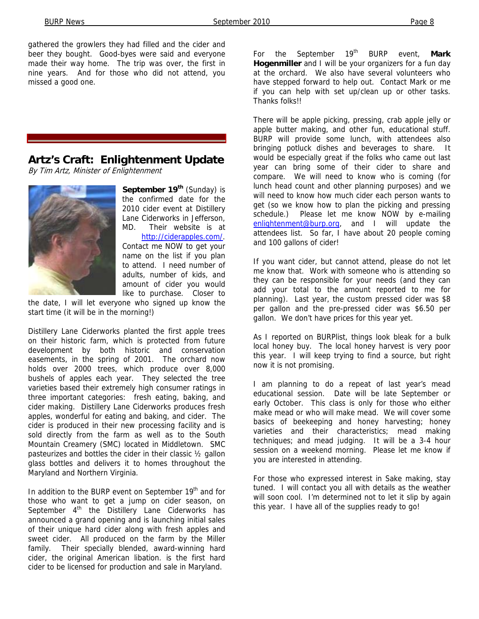gathered the growlers they had filled and the cider and beer they bought. Good-byes were said and everyone made their way home. The trip was over, the first in nine years. And for those who did not attend, you missed a good one.

#### **Artz's Craft: Enlightenment Update**

By Tim Artz, Minister of Enlightenment



**September 19<sup>th</sup>** (Sunday) is the confirmed date for the 2010 cider event at Distillery Lane Ciderworks in Jefferson, MD. Their website is at http://ciderapples.com/. Contact me NOW to get your name on the list if you plan to attend. I need number of adults, number of kids, and amount of cider you would

like to purchase. Closer to the date, I will let everyone who signed up know the start time (it will be in the morning!)

Distillery Lane Ciderworks planted the first apple trees on their historic farm, which is protected from future development by both historic and conservation easements, in the spring of 2001. The orchard now holds over 2000 trees, which produce over 8,000 bushels of apples each year. They selected the tree varieties based their extremely high consumer ratings in three important categories: fresh eating, baking, and cider making. Distillery Lane Ciderworks produces fresh apples, wonderful for eating and baking, and cider. The cider is produced in their new processing facility and is sold directly from the farm as well as to the South Mountain Creamery (SMC) located in Middletown. SMC pasteurizes and bottles the cider in their classic ½ gallon glass bottles and delivers it to homes throughout the Maryland and Northern Virginia.

In addition to the BURP event on September 19<sup>th</sup> and for those who want to get a jump on cider season, on September  $4<sup>th</sup>$  the Distillery Lane Ciderworks has announced a grand opening and is launching initial sales of their unique hard cider along with fresh apples and sweet cider. All produced on the farm by the Miller family. Their specially blended, award-winning hard cider, the original American libation. is the first hard cider to be licensed for production and sale in Maryland.

For the September 19<sup>th</sup> BURP event, Mark **Hogenmiller** and I will be your organizers for a fun day at the orchard. We also have several volunteers who have stepped forward to help out. Contact Mark or me if you can help with set up/clean up or other tasks. Thanks folks!!

There will be apple picking, pressing, crab apple jelly or apple butter making, and other fun, educational stuff. BURP will provide some lunch, with attendees also bringing potluck dishes and beverages to share. It would be especially great if the folks who came out last year can bring some of their cider to share and compare. We will need to know who is coming (for lunch head count and other planning purposes) and we will need to know how much cider each person wants to get (so we know how to plan the picking and pressing schedule.) Please let me know NOW by e-mailing enlightenment@burp.org, and I will update the attendees list. So far, I have about 20 people coming and 100 gallons of cider!

If you want cider, but cannot attend, please do not let me know that. Work with someone who is attending so they can be responsible for your needs (and they can add your total to the amount reported to me for planning). Last year, the custom pressed cider was \$8 per gallon and the pre-pressed cider was \$6.50 per gallon. We don't have prices for this year yet.

As I reported on BURPlist, things look bleak for a bulk local honey buy. The local honey harvest is very poor this year. I will keep trying to find a source, but right now it is not promising.

I am planning to do a repeat of last year's mead educational session. Date will be late September or early October. This class is only for those who either make mead or who will make mead. We will cover some basics of beekeeping and honey harvesting; honey varieties and their characteristics; mead making techniques; and mead judging. It will be a 3-4 hour session on a weekend morning. Please let me know if you are interested in attending.

For those who expressed interest in Sake making, stay tuned. I will contact you all with details as the weather will soon cool. I'm determined not to let it slip by again this year. I have all of the supplies ready to go!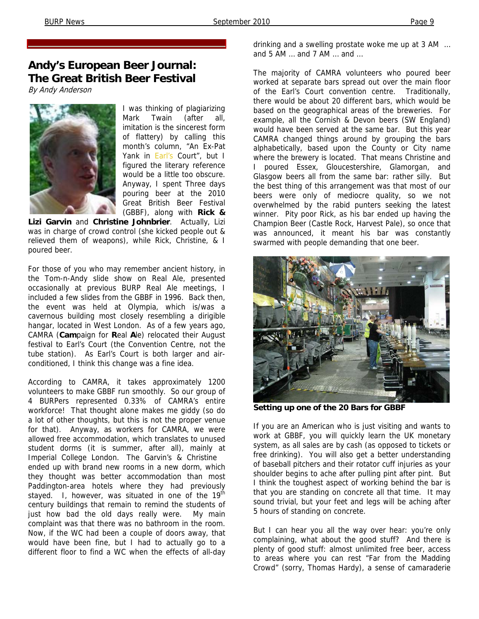By Andy Anderson



I was thinking of plagiarizing Mark Twain (after all, imitation is the sincerest form of flattery) by calling this month's column, "An Ex-Pat Yank in Earl's Court", but I figured the literary reference would be a little too obscure. Anyway, I spent Three days pouring beer at the 2010 Great British Beer Festival (GBBF), along with **Rick &** 

**Lizi Garvin** and **Christine Johnbrier**. Actually, Lizi was in charge of crowd control (she kicked people out & relieved them of weapons), while Rick, Christine, & I poured beer.

For those of you who may remember ancient history, in the Tom-n-Andy slide show on Real Ale, presented occasionally at previous BURP Real Ale meetings, I included a few slides from the GBBF in 1996. Back then, the event was held at Olympia, which is/was a cavernous building most closely resembling a dirigible hangar, located in West London. As of a few years ago, CAMRA (**Cam**paign for **R**eal **A**le) relocated their August festival to Earl's Court (the Convention Centre, not the tube station). As Earl's Court is both larger and airconditioned, I think this change was a fine idea.

According to CAMRA, it takes approximately 1200 volunteers to make GBBF run smoothly. So our group of 4 BURPers represented 0.33% of CAMRA's entire workforce! That thought alone makes me giddy (so do a lot of other thoughts, but this is not the proper venue for that). Anyway, as workers for CAMRA, we were allowed free accommodation, which translates to unused student dorms (it is summer, after all), mainly at Imperial College London. The Garvin's & Christine ended up with brand new rooms in a new dorm, which they thought was better accommodation than most Paddington-area hotels where they had previously stayed. I, however, was situated in one of the  $19<sup>th</sup>$ century buildings that remain to remind the students of just how bad the old days really were. My main complaint was that there was no bathroom in the room. Now, if the WC had been a couple of doors away, that would have been fine, but I had to actually go to a different floor to find a WC when the effects of all-day

drinking and a swelling prostate woke me up at 3 AM … and 5 AM … and 7 AM … and …

The majority of CAMRA volunteers who poured beer worked at separate bars spread out over the main floor of the Earl's Court convention centre. Traditionally, there would be about 20 different bars, which would be based on the geographical areas of the breweries. For example, all the Cornish & Devon beers (SW England) would have been served at the same bar. But this year CAMRA changed things around by grouping the bars alphabetically, based upon the County or City name where the brewery is located. That means Christine and I poured Essex, Gloucestershire, Glamorgan, and Glasgow beers all from the same bar: rather silly. But the best thing of this arrangement was that most of our beers were only of mediocre quality, so we not overwhelmed by the rabid punters seeking the latest winner. Pity poor Rick, as his bar ended up having the Champion Beer (Castle Rock, Harvest Pale), so once that was announced, it meant his bar was constantly swarmed with people demanding that one beer.



**Setting up one of the 20 Bars for GBBF** 

If you are an American who is just visiting and wants to work at GBBF, you will quickly learn the UK monetary system, as all sales are by cash (as opposed to tickets or free drinking). You will also get a better understanding of baseball pitchers and their rotator cuff injuries as your shoulder begins to ache after pulling pint after pint. But I think the toughest aspect of working behind the bar is that you are standing on concrete all that time. It may sound trivial, but your feet and legs will be aching after 5 hours of standing on concrete.

But I can hear you all the way over hear: you're only complaining, what about the good stuff? And there is plenty of good stuff: almost unlimited free beer, access to areas where you can rest "Far from the Madding Crowd" (sorry, Thomas Hardy), a sense of camaraderie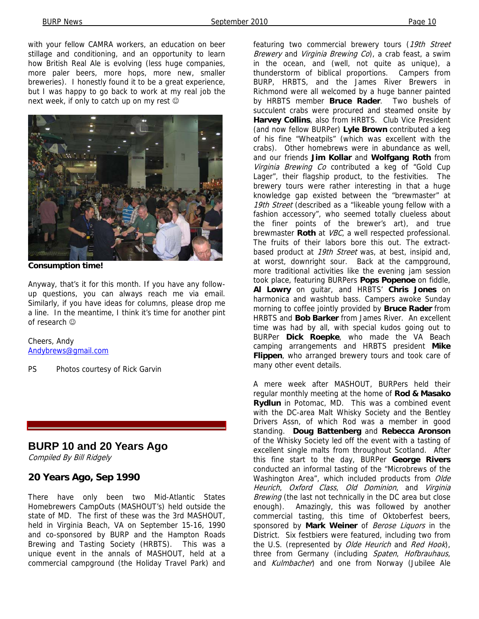with your fellow CAMRA workers, an education on beer stillage and conditioning, and an opportunity to learn how British Real Ale is evolving (less huge companies, more paler beers, more hops, more new, smaller breweries). I honestly found it to be a great experience, but I was happy to go back to work at my real job the next week, if only to catch up on my rest  $\odot$ 



**Consumption time!** 

Anyway, that's it for this month. If you have any followup questions, you can always reach me via email. Similarly, if you have ideas for columns, please drop me a line. In the meantime, I think it's time for another pint of research ☺

Cheers, Andy Andybrews@gmail.com

PS Photos courtesy of Rick Garvin

#### **BURP 10 and 20 Years Ago**

Compiled By Bill Ridgely

#### **20 Years Ago, Sep 1990**

There have only been two Mid-Atlantic States Homebrewers CampOuts (MASHOUT's) held outside the state of MD. The first of these was the 3rd MASHOUT, held in Virginia Beach, VA on September 15-16, 1990 and co-sponsored by BURP and the Hampton Roads Brewing and Tasting Society (HRBTS). This was a unique event in the annals of MASHOUT, held at a commercial campground (the Holiday Travel Park) and

featuring two commercial brewery tours (19th Street Brewery and Virginia Brewing Co), a crab feast, a swim in the ocean, and (well, not quite as unique), a thunderstorm of biblical proportions. Campers from BURP, HRBTS, and the James River Brewers in Richmond were all welcomed by a huge banner painted by HRBTS member **Bruce Rader**. Two bushels of succulent crabs were procured and steamed onsite by **Harvey Collins**, also from HRBTS. Club Vice President (and now fellow BURPer) **Lyle Brown** contributed a keg of his fine "Wheatpils" (which was excellent with the crabs). Other homebrews were in abundance as well, and our friends **Jim Kollar** and **Wolfgang Roth** from Virginia Brewing Co contributed a keg of "Gold Cup Lager", their flagship product, to the festivities. The brewery tours were rather interesting in that a huge knowledge gap existed between the "brewmaster" at 19th Street (described as a "likeable young fellow with a fashion accessory", who seemed totally clueless about the finer points of the brewer's art), and true brewmaster **Roth** at VBC, a well respected professional. The fruits of their labors bore this out. The extractbased product at 19th Street was, at best, insipid and, at worst, downright sour. Back at the campground, more traditional activities like the evening jam session took place, featuring BURPers **Pops Popenoe** on fiddle, **Al Lowry** on guitar, and HRBTS' **Chris Jones** on harmonica and washtub bass. Campers awoke Sunday morning to coffee jointly provided by **Bruce Rader** from HRBTS and **Bob Barker** from James River. An excellent time was had by all, with special kudos going out to BURPer **Dick Roepke**, who made the VA Beach camping arrangements and HRBTS president **Mike Flippen**, who arranged brewery tours and took care of many other event details.

A mere week after MASHOUT, BURPers held their regular monthly meeting at the home of **Rod & Masako Rydlun** in Potomac, MD. This was a combined event with the DC-area Malt Whisky Society and the Bentley Drivers Assn, of which Rod was a member in good standing. **Doug Battenberg** and **Rebecca Aronson**  of the Whisky Society led off the event with a tasting of excellent single malts from throughout Scotland. After this fine start to the day, BURPer **George Rivers** conducted an informal tasting of the "Microbrews of the Washington Area", which included products from Olde Heurich, Oxford Class, Old Dominion, and Virginia Brewing (the last not technically in the DC area but close enough). Amazingly, this was followed by another commercial tasting, this time of Oktoberfest beers, sponsored by **Mark Weiner** of Berose Liquors in the District. Six festbiers were featured, including two from the U.S. (represented by Olde Heurich and Red Hook), three from Germany (including Spaten, Hofbrauhaus, and Kulmbacher) and one from Norway (Jubilee Ale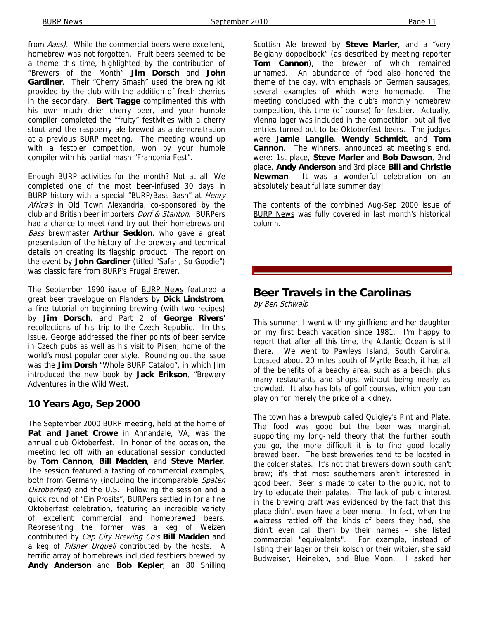from *Aass*). While the commercial beers were excellent, homebrew was not forgotten. Fruit beers seemed to be a theme this time, highlighted by the contribution of "Brewers of the Month" **Jim Dorsch** and **John Gardiner**. Their "Cherry Smash" used the brewing kit provided by the club with the addition of fresh cherries in the secondary. **Bert Tagge** complimented this with his own much drier cherry beer, and your humble compiler completed the "fruity" festivities with a cherry stout and the raspberry ale brewed as a demonstration at a previous BURP meeting. The meeting wound up with a festbier competition, won by your humble compiler with his partial mash "Franconia Fest".

Enough BURP activities for the month? Not at all! We completed one of the most beer-infused 30 days in BURP history with a special "BURP/Bass Bash" at *Henry* Africa's in Old Town Alexandria, co-sponsored by the club and British beer importers Dorf & Stanton. BURPers had a chance to meet (and try out their homebrews on) Bass brewmaster **Arthur Seddon**, who gave a great presentation of the history of the brewery and technical details on creating its flagship product. The report on the event by **John Gardiner** (titled "Safari, So Goodie") was classic fare from BURP's Frugal Brewer.

The September 1990 issue of BURP News featured a great beer travelogue on Flanders by **Dick Lindstrom**, a fine tutorial on beginning brewing (with two recipes) by **Jim Dorsch**, and Part 2 of **George Rivers'** recollections of his trip to the Czech Republic. In this issue, George addressed the finer points of beer service in Czech pubs as well as his visit to Pilsen, home of the world's most popular beer style. Rounding out the issue was the **Jim Dorsh** "Whole BURP Catalog", in which Jim introduced the new book by **Jack Erikson**, "Brewery Adventures in the Wild West.

#### **10 Years Ago, Sep 2000**

The September 2000 BURP meeting, held at the home of **Pat and Janet Crowe** in Annandale, VA, was the annual club Oktoberfest. In honor of the occasion, the meeting led off with an educational session conducted by **Tom Cannon**, **Bill Madden**, and **Steve Marler**. The session featured a tasting of commercial examples, both from Germany (including the incomparable Spaten Oktoberfest) and the U.S. Following the session and a quick round of "Ein Prosits", BURPers settled in for a fine Oktoberfest celebration, featuring an incredible variety of excellent commercial and homebrewed beers. Representing the former was a keg of Weizen contributed by Cap City Brewing Co's **Bill Madden** and a keg of Pilsner Urquell contributed by the hosts. A terrific array of homebrews included festbiers brewed by **Andy Anderson** and **Bob Kepler**, an 80 Shilling

Scottish Ale brewed by **Steve Marler**, and a "very Belgiany doppelbock" (as described by meeting reporter **Tom Cannon**), the brewer of which remained unnamed. An abundance of food also honored the theme of the day, with emphasis on German sausages, several examples of which were homemade. The meeting concluded with the club's monthly homebrew competition, this time (of course) for festbier. Actually, Vienna lager was included in the competition, but all five entries turned out to be Oktoberfest beers. The judges were **Jamie Langlie**, **Wendy Schmidt**, and **Tom Cannon**. The winners, announced at meeting's end, were: 1st place, **Steve Marler** and **Bob Dawson**, 2nd place, **Andy Anderson** and 3rd place **Bill and Christie Newman**. It was a wonderful celebration on an absolutely beautiful late summer day!

The contents of the combined Aug-Sep 2000 issue of BURP News was fully covered in last month's historical column.

#### **Beer Travels in the Carolinas**

by Ben Schwalb

This summer, I went with my girlfriend and her daughter on my first beach vacation since 1981. I'm happy to report that after all this time, the Atlantic Ocean is still there. We went to Pawleys Island, South Carolina. Located about 20 miles south of Myrtle Beach, it has all of the benefits of a beachy area, such as a beach, plus many restaurants and shops, without being nearly as crowded. It also has lots of golf courses, which you can play on for merely the price of a kidney.

The town has a brewpub called Quigley's Pint and Plate. The food was good but the beer was marginal, supporting my long-held theory that the further south you go, the more difficult it is to find good locally brewed beer. The best breweries tend to be located in the colder states. It's not that brewers down south can't brew; it's that most southerners aren't interested in good beer. Beer is made to cater to the public, not to try to educate their palates. The lack of public interest in the brewing craft was evidenced by the fact that this place didn't even have a beer menu. In fact, when the waitress rattled off the kinds of beers they had, she didn't even call them by their names – she listed commercial "equivalents". For example, instead of listing their lager or their kolsch or their witbier, she said Budweiser, Heineken, and Blue Moon. I asked her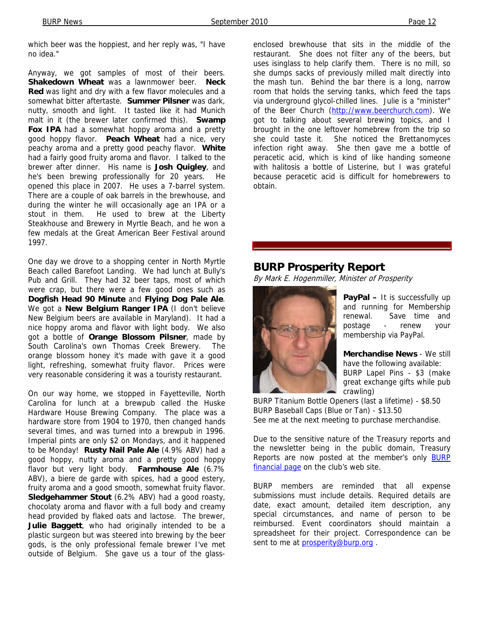which beer was the hoppiest, and her reply was, "I have no idea."

Anyway, we got samples of most of their beers. **Shakedown Wheat** was a lawnmower beer. **Neck Red** was light and dry with a few flavor molecules and a somewhat bitter aftertaste. **Summer Pilsner** was dark, nutty, smooth and light. It tasted like it had Munich malt in it (the brewer later confirmed this). **Swamp**  Fox IPA had a somewhat hoppy aroma and a pretty good hoppy flavor. **Peach Wheat** had a nice, very peachy aroma and a pretty good peachy flavor. **White** had a fairly good fruity aroma and flavor. I talked to the brewer after dinner. His name is **Josh Quigley**, and he's been brewing professionally for 20 years. He opened this place in 2007. He uses a 7-barrel system. There are a couple of oak barrels in the brewhouse, and during the winter he will occasionally age an IPA or a stout in them. He used to brew at the Liberty Steakhouse and Brewery in Myrtle Beach, and he won a few medals at the Great American Beer Festival around 1997.

One day we drove to a shopping center in North Myrtle Beach called Barefoot Landing. We had lunch at Bully's Pub and Grill. They had 32 beer taps, most of which were crap, but there were a few good ones such as **Dogfish Head 90 Minute** and **Flying Dog Pale Ale**. We got a **New Belgium Ranger IPA** (I don't believe New Belgium beers are available in Maryland). It had a nice hoppy aroma and flavor with light body. We also got a bottle of **Orange Blossom Pilsner**, made by South Carolina's own Thomas Creek Brewery. The orange blossom honey it's made with gave it a good light, refreshing, somewhat fruity flavor. Prices were very reasonable considering it was a touristy restaurant.

On our way home, we stopped in Fayetteville, North Carolina for lunch at a brewpub called the Huske Hardware House Brewing Company. The place was a hardware store from 1904 to 1970, then changed hands several times, and was turned into a brewpub in 1996. Imperial pints are only \$2 on Mondays, and it happened to be Monday! **Rusty Nail Pale Ale** (4.9% ABV) had a good hoppy, nutty aroma and a pretty good hoppy flavor but very light body. **Farmhouse Ale** (6.7% ABV), a biere de garde with spices, had a good estery, fruity aroma and a good smooth, somewhat fruity flavor. **Sledgehammer Stout** (6.2% ABV) had a good roasty, chocolaty aroma and flavor with a full body and creamy head provided by flaked oats and lactose. The brewer, **Julie Baggett**, who had originally intended to be a plastic surgeon but was steered into brewing by the beer gods, is the only professional female brewer I've met outside of Belgium. She gave us a tour of the glass-

enclosed brewhouse that sits in the middle of the restaurant. She does not filter any of the beers, but uses isinglass to help clarify them. There is no mill, so she dumps sacks of previously milled malt directly into the mash tun. Behind the bar there is a long, narrow room that holds the serving tanks, which feed the taps via underground glycol-chilled lines. Julie is a "minister" of the Beer Church (http://www.beerchurch.com). We got to talking about several brewing topics, and I brought in the one leftover homebrew from the trip so she could taste it. She noticed the Brettanomyces infection right away. She then gave me a bottle of peracetic acid, which is kind of like handing someone with halitosis a bottle of Listerine, but I was grateful because peracetic acid is difficult for homebrewers to obtain.

#### **BURP Prosperity Report**

By Mark E. Hogenmiller, Minister of Prosperity



**PayPal –** It is successfully up and running for Membership renewal. Save time and postage - renew your membership via PayPal.

**Merchandise News** - We still have the following available: BURP Lapel Pins - \$3 (make great exchange gifts while pub crawling)

BURP Titanium Bottle Openers (last a lifetime) - \$8.50 BURP Baseball Caps (Blue or Tan) - \$13.50 See me at the next meeting to purchase merchandise.

Due to the sensitive nature of the Treasury reports and the newsletter being in the public domain, Treasury Reports are now posted at the member's only BURP financial page on the club's web site.

BURP members are reminded that all expense submissions must include details. Required details are date, exact amount, detailed item description, any special circumstances, and name of person to be reimbursed. Event coordinators should maintain a spreadsheet for their project. Correspondence can be sent to me at prosperity@burp.org.